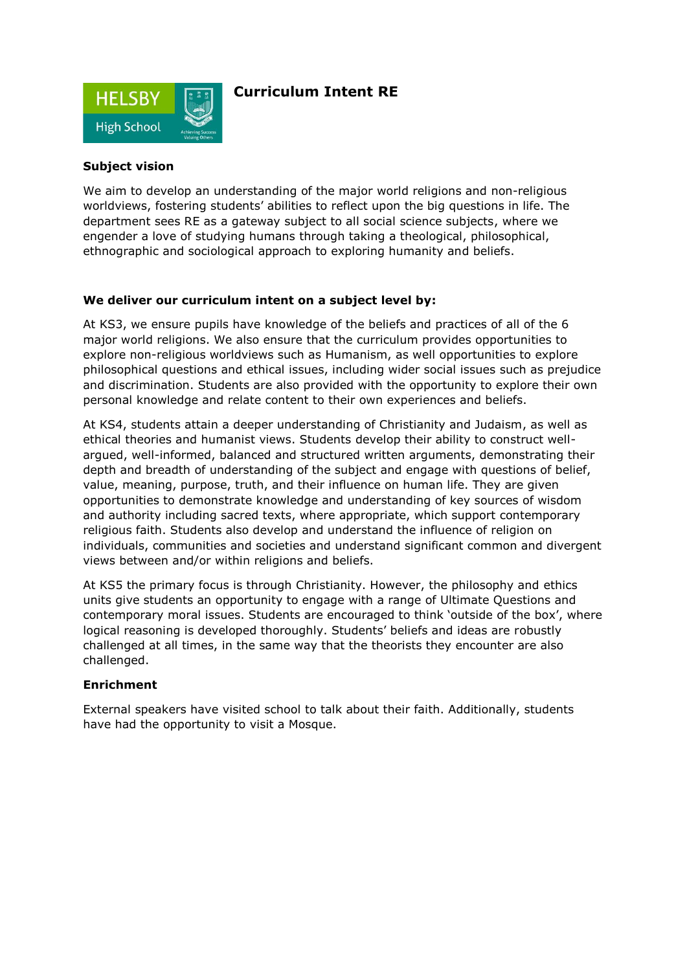

# **Curriculum Intent RE**

## **Subject vision**

We aim to develop an understanding of the major world religions and non-religious worldviews, fostering students' abilities to reflect upon the big questions in life. The department sees RE as a gateway subject to all social science subjects, where we engender a love of studying humans through taking a theological, philosophical, ethnographic and sociological approach to exploring humanity and beliefs.

### **We deliver our curriculum intent on a subject level by:**

At KS3, we ensure pupils have knowledge of the beliefs and practices of all of the 6 major world religions. We also ensure that the curriculum provides opportunities to explore non-religious worldviews such as Humanism, as well opportunities to explore philosophical questions and ethical issues, including wider social issues such as prejudice and discrimination. Students are also provided with the opportunity to explore their own personal knowledge and relate content to their own experiences and beliefs.

At KS4, students attain a deeper understanding of Christianity and Judaism, as well as ethical theories and humanist views. Students develop their ability to construct wellargued, well-informed, balanced and structured written arguments, demonstrating their depth and breadth of understanding of the subject and engage with questions of belief, value, meaning, purpose, truth, and their influence on human life. They are given opportunities to demonstrate knowledge and understanding of key sources of wisdom and authority including sacred texts, where appropriate, which support contemporary religious faith. Students also develop and understand the influence of religion on individuals, communities and societies and understand significant common and divergent views between and/or within religions and beliefs.

At KS5 the primary focus is through Christianity. However, the philosophy and ethics units give students an opportunity to engage with a range of Ultimate Questions and contemporary moral issues. Students are encouraged to think 'outside of the box', where logical reasoning is developed thoroughly. Students' beliefs and ideas are robustly challenged at all times, in the same way that the theorists they encounter are also challenged.

#### **Enrichment**

External speakers have visited school to talk about their faith. Additionally, students have had the opportunity to visit a Mosque.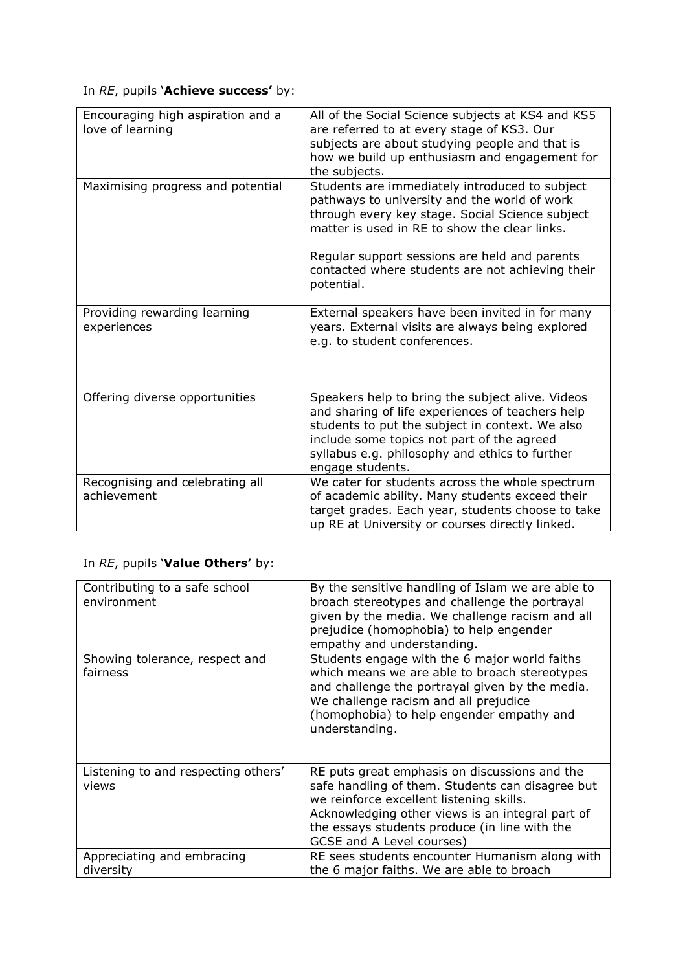# In *RE*, pupils '**Achieve success'** by:

| Encouraging high aspiration and a<br>love of learning | All of the Social Science subjects at KS4 and KS5<br>are referred to at every stage of KS3. Our<br>subjects are about studying people and that is<br>how we build up enthusiasm and engagement for<br>the subjects.                                                                                     |
|-------------------------------------------------------|---------------------------------------------------------------------------------------------------------------------------------------------------------------------------------------------------------------------------------------------------------------------------------------------------------|
| Maximising progress and potential                     | Students are immediately introduced to subject<br>pathways to university and the world of work<br>through every key stage. Social Science subject<br>matter is used in RE to show the clear links.<br>Regular support sessions are held and parents<br>contacted where students are not achieving their |
|                                                       | potential.                                                                                                                                                                                                                                                                                              |
| Providing rewarding learning<br>experiences           | External speakers have been invited in for many<br>years. External visits are always being explored<br>e.g. to student conferences.                                                                                                                                                                     |
| Offering diverse opportunities                        | Speakers help to bring the subject alive. Videos<br>and sharing of life experiences of teachers help<br>students to put the subject in context. We also<br>include some topics not part of the agreed<br>syllabus e.g. philosophy and ethics to further<br>engage students.                             |
| Recognising and celebrating all<br>achievement        | We cater for students across the whole spectrum<br>of academic ability. Many students exceed their<br>target grades. Each year, students choose to take<br>up RE at University or courses directly linked.                                                                                              |

# In *RE*, pupils '**Value Others'** by:

| Contributing to a safe school<br>environment | By the sensitive handling of Islam we are able to<br>broach stereotypes and challenge the portrayal<br>given by the media. We challenge racism and all<br>prejudice (homophobia) to help engender<br>empathy and understanding.                                                 |
|----------------------------------------------|---------------------------------------------------------------------------------------------------------------------------------------------------------------------------------------------------------------------------------------------------------------------------------|
| Showing tolerance, respect and<br>fairness   | Students engage with the 6 major world faiths<br>which means we are able to broach stereotypes<br>and challenge the portrayal given by the media.<br>We challenge racism and all prejudice<br>(homophobia) to help engender empathy and<br>understanding.                       |
| Listening to and respecting others'<br>views | RE puts great emphasis on discussions and the<br>safe handling of them. Students can disagree but<br>we reinforce excellent listening skills.<br>Acknowledging other views is an integral part of<br>the essays students produce (in line with the<br>GCSE and A Level courses) |
| Appreciating and embracing<br>diversity      | RE sees students encounter Humanism along with<br>the 6 major faiths. We are able to broach                                                                                                                                                                                     |